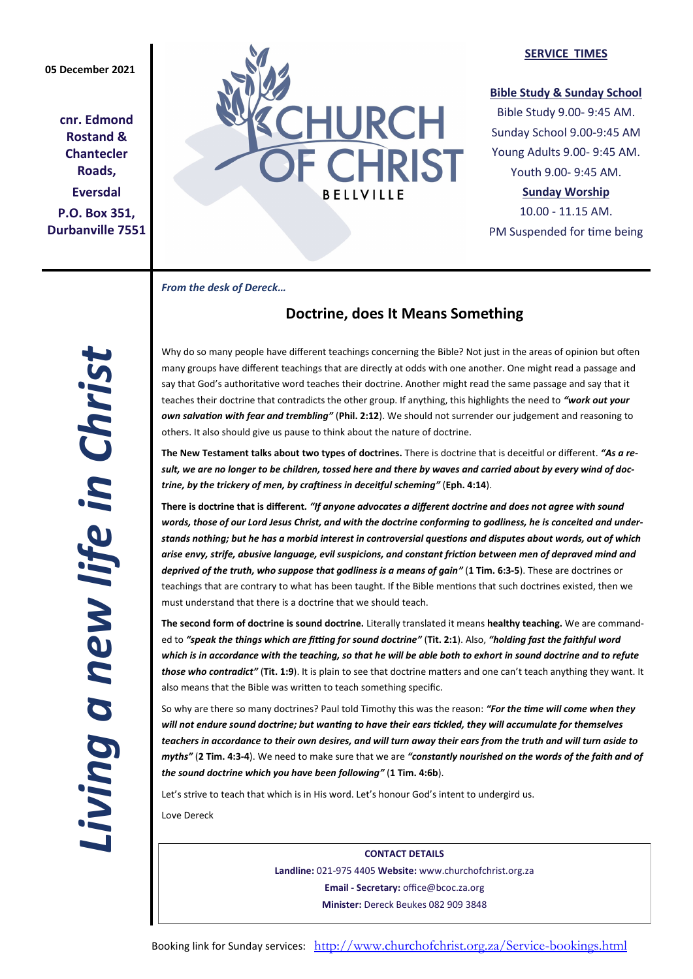**cnr. Edmond Rostand & Chantecler Roads, Eversdal P.O. Box 351, Durbanville 7551**



## **SERVICE TIMES**

## **Bible Study & Sunday School**

Bible Study 9.00- 9:45 AM. Sunday School 9.00-9:45 AM Young Adults 9.00- 9:45 AM. Youth 9.00- 9:45 AM.

# **Sunday Worship**

10.00 - 11.15 AM. PM Suspended for time being

*From the desk of Dereck…* 

# **Doctrine, does It Means Something**

Why do so many people have different teachings concerning the Bible? Not just in the areas of opinion but often many groups have different teachings that are directly at odds with one another. One might read a passage and say that God's authoritative word teaches their doctrine. Another might read the same passage and say that it teaches their doctrine that contradicts the other group. If anything, this highlights the need to *"work out your own salvation with fear and trembling"* (**Phil. 2:12**). We should not surrender our judgement and reasoning to others. It also should give us pause to think about the nature of doctrine.

**The New Testament talks about two types of doctrines.** There is doctrine that is deceitful or different. *"As a result, we are no longer to be children, tossed here and there by waves and carried about by every wind of doctrine, by the trickery of men, by craftiness in deceitful scheming"* (**Eph. 4:14**).

**There is doctrine that is different***. "If anyone advocates a different doctrine and does not agree with sound words, those of our Lord Jesus Christ, and with the doctrine conforming to godliness, he is conceited and understands nothing; but he has a morbid interest in controversial questions and disputes about words, out of which arise envy, strife, abusive language, evil suspicions, and constant friction between men of depraved mind and deprived of the truth, who suppose that godliness is a means of gain"* (**1 Tim. 6:3-5**). These are doctrines or teachings that are contrary to what has been taught. If the Bible mentions that such doctrines existed, then we must understand that there is a doctrine that we should teach.

**The second form of doctrine is sound doctrine.** Literally translated it means **healthy teaching.** We are commanded to *"speak the things which are fitting for sound doctrine"* (**Tit. 2:1**). Also, *"holding fast the faithful word*  which is in accordance with the teaching, so that he will be able both to exhort in sound doctrine and to refute *those who contradict"* (**Tit. 1:9**). It is plain to see that doctrine matters and one can't teach anything they want. It also means that the Bible was written to teach something specific.

So why are there so many doctrines? Paul told Timothy this was the reason: *"For the time will come when they will not endure sound doctrine; but wanting to have their ears tickled, they will accumulate for themselves teachers in accordance to their own desires, and will turn away their ears from the truth and will turn aside to myths"* (**2 Tim. 4:3-4**). We need to make sure that we are *"constantly nourished on the words of the faith and of the sound doctrine which you have been following"* (**1 Tim. 4:6b**).

Let's strive to teach that which is in His word. Let's honour God's intent to undergird us.

Love Dereck

**CONTACT DETAILS Landline:** 021-975 4405 **Website:** www.churchofchrist.org.za **Email - Secretary:** office@bcoc.za.org **Minister:** Dereck Beukes 082 909 3848